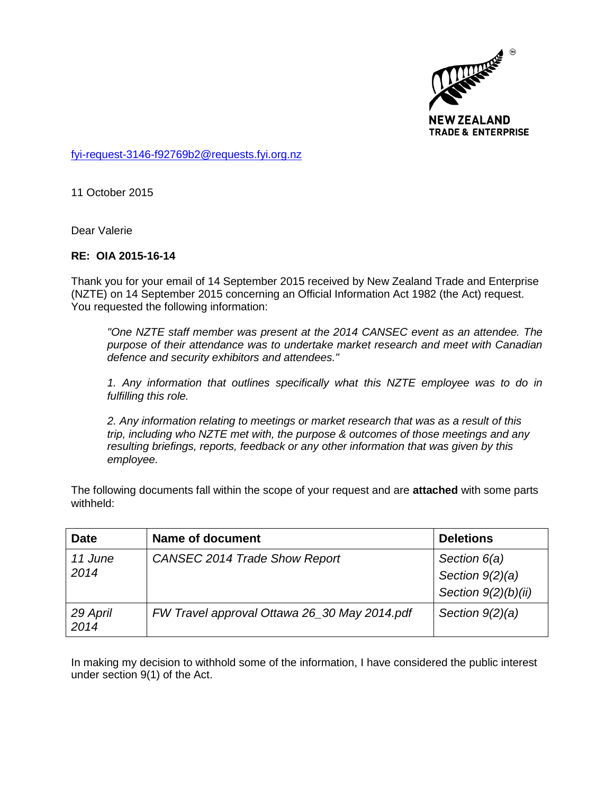

[fyi-request-3146-f92769b2@requests.fyi.org.nz](mailto:xxxxxxxxxxxxxxxxxxxxxxxxx@xxxxxxxx.xxx.xxx.xx)

11 October 2015

Dear Valerie

## **RE: OIA 2015-16-14**

Thank you for your email of 14 September 2015 received by New Zealand Trade and Enterprise (NZTE) on 14 September 2015 concerning an Official Information Act 1982 (the Act) request. You requested the following information:

*"One NZTE staff member was present at the 2014 CANSEC event as an attendee. The purpose of their attendance was to undertake market research and meet with Canadian defence and security exhibitors and attendees."*

*1. Any information that outlines specifically what this NZTE employee was to do in fulfilling this role.*

*2. Any information relating to meetings or market research that was as a result of this trip, including who NZTE met with, the purpose & outcomes of those meetings and any resulting briefings, reports, feedback or any other information that was given by this employee.*

The following documents fall within the scope of your request and are **attached** with some parts withheld:

| <b>Date</b>      | Name of document                             | <b>Deletions</b>      |
|------------------|----------------------------------------------|-----------------------|
| 11 June<br>2014  | CANSEC 2014 Trade Show Report                | Section 6(a)          |
|                  |                                              | Section $9(2)(a)$     |
|                  |                                              | Section $9(2)(b)(ii)$ |
| 29 April<br>2014 | FW Travel approval Ottawa 26_30 May 2014.pdf | Section $9(2)(a)$     |

In making my decision to withhold some of the information, I have considered the public interest under section 9(1) of the Act.